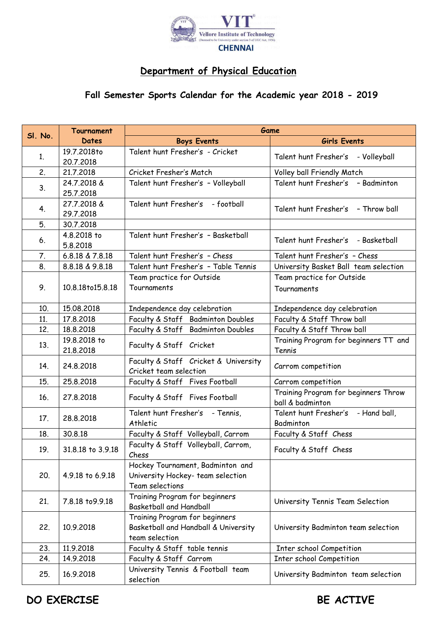

## **Department of Physical Education**

## **Fall Semester Sports Calendar for the Academic year 2018 - 2019**

| <b>Boys Events</b><br>Girls Events<br><b>Dates</b><br>Talent hunt Fresher's - Cricket<br>19.7.2018to<br>1.<br>Talent hunt Fresher's - Volleyball<br>20.7.2018<br>2.<br>21.7.2018<br>Cricket Fresher's Match<br>Volley ball Friendly Match<br>Talent hunt Fresher's - Badminton<br>24.7.2018 &<br>Talent hunt Fresher's - Volleyball<br>3.<br>25.7.2018<br>Talent hunt Fresher's<br>27.7.2018 &<br>- football<br>Talent hunt Fresher's - Throw ball<br>4.<br>29.7.2018<br>5.<br>30.7.2018<br>4.8.2018 to<br>Talent hunt Fresher's - Basketball<br>Talent hunt Fresher's - Basketball<br>6.<br>5.8.2018<br>7.<br>Talent hunt Fresher's - Chess<br>Talent hunt Fresher's - Chess<br>6.8.18 & 7.8.18<br>8.<br>Talent hunt Fresher's - Table Tennis<br>8.8.18 & 9.8.18<br>University Basket Ball team selection<br>Team practice for Outside<br>Team practice for Outside<br>9.<br>10.8.18to15.8.18<br>Tournaments<br>Tournaments<br>10.<br>15.08.2018<br>Independence day celebration<br>Independence day celebration<br>Faculty & Staff Badminton Doubles<br>Faculty & Staff Throw ball<br>11.<br>17.8.2018<br>Faculty & Staff Badminton Doubles<br>Faculty & Staff Throw ball<br>12.<br>18.8.2018<br>Training Program for beginners TT and<br>19.8.2018 to<br>13.<br>Faculty & Staff Cricket<br>21.8.2018<br>Tennis<br>Faculty & Staff Cricket & University<br>14.<br>24.8.2018<br>Carrom competition<br>Cricket team selection<br>15.<br>25.8.2018<br>Faculty & Staff Fives Football<br>Carrom competition<br>Training Program for beginners Throw<br>27.8.2018<br>Faculty & Staff Fives Football<br>16.<br>ball & badminton<br>Talent hunt Fresher's - Tennis,<br>Talent hunt Fresher's - Hand ball,<br>17.<br>28.8.2018<br>Badminton<br>Athletic<br>30.8.18<br>Faculty & Staff Volleyball, Carrom<br>Faculty & Staff Chess<br>18.<br>Faculty & Staff Volleyball, Carrom,<br>19.<br>31.8.18 to 3.9.18<br>Faculty & Staff Chess<br>Chess<br>Hockey Tournament, Badminton and<br>University Hockey- team selection<br>20.<br>4.9.18 to 6.9.18<br>Team selections<br>Training Program for beginners<br>7.8.18 to 9.9.18<br>21.<br>University Tennis Team Selection<br><b>Basketball and Handball</b><br>Training Program for beginners<br>Basketball and Handball & University<br>22.<br>10.9.2018<br>University Badminton team selection<br>team selection<br>11.9.2018<br>Faculty & Staff table tennis<br>Inter school Competition<br>23.<br>14.9.2018<br>Faculty & Staff Carrom<br>Inter school Competition<br>24.<br>University Tennis & Football team<br>25.<br>16.9.2018<br>University Badminton team selection<br>selection |         | Tournament | Game |  |
|---------------------------------------------------------------------------------------------------------------------------------------------------------------------------------------------------------------------------------------------------------------------------------------------------------------------------------------------------------------------------------------------------------------------------------------------------------------------------------------------------------------------------------------------------------------------------------------------------------------------------------------------------------------------------------------------------------------------------------------------------------------------------------------------------------------------------------------------------------------------------------------------------------------------------------------------------------------------------------------------------------------------------------------------------------------------------------------------------------------------------------------------------------------------------------------------------------------------------------------------------------------------------------------------------------------------------------------------------------------------------------------------------------------------------------------------------------------------------------------------------------------------------------------------------------------------------------------------------------------------------------------------------------------------------------------------------------------------------------------------------------------------------------------------------------------------------------------------------------------------------------------------------------------------------------------------------------------------------------------------------------------------------------------------------------------------------------------------------------------------------------------------------------------------------------------------------------------------------------------------------------------------------------------------------------------------------------------------------------------------------------------------------------------------------------------------------------------------------------------------------------------------------------------------------------------------------------------------------------------------------------|---------|------------|------|--|
|                                                                                                                                                                                                                                                                                                                                                                                                                                                                                                                                                                                                                                                                                                                                                                                                                                                                                                                                                                                                                                                                                                                                                                                                                                                                                                                                                                                                                                                                                                                                                                                                                                                                                                                                                                                                                                                                                                                                                                                                                                                                                                                                                                                                                                                                                                                                                                                                                                                                                                                                                                                                                                 | SI. No. |            |      |  |
|                                                                                                                                                                                                                                                                                                                                                                                                                                                                                                                                                                                                                                                                                                                                                                                                                                                                                                                                                                                                                                                                                                                                                                                                                                                                                                                                                                                                                                                                                                                                                                                                                                                                                                                                                                                                                                                                                                                                                                                                                                                                                                                                                                                                                                                                                                                                                                                                                                                                                                                                                                                                                                 |         |            |      |  |
|                                                                                                                                                                                                                                                                                                                                                                                                                                                                                                                                                                                                                                                                                                                                                                                                                                                                                                                                                                                                                                                                                                                                                                                                                                                                                                                                                                                                                                                                                                                                                                                                                                                                                                                                                                                                                                                                                                                                                                                                                                                                                                                                                                                                                                                                                                                                                                                                                                                                                                                                                                                                                                 |         |            |      |  |
|                                                                                                                                                                                                                                                                                                                                                                                                                                                                                                                                                                                                                                                                                                                                                                                                                                                                                                                                                                                                                                                                                                                                                                                                                                                                                                                                                                                                                                                                                                                                                                                                                                                                                                                                                                                                                                                                                                                                                                                                                                                                                                                                                                                                                                                                                                                                                                                                                                                                                                                                                                                                                                 |         |            |      |  |
|                                                                                                                                                                                                                                                                                                                                                                                                                                                                                                                                                                                                                                                                                                                                                                                                                                                                                                                                                                                                                                                                                                                                                                                                                                                                                                                                                                                                                                                                                                                                                                                                                                                                                                                                                                                                                                                                                                                                                                                                                                                                                                                                                                                                                                                                                                                                                                                                                                                                                                                                                                                                                                 |         |            |      |  |
|                                                                                                                                                                                                                                                                                                                                                                                                                                                                                                                                                                                                                                                                                                                                                                                                                                                                                                                                                                                                                                                                                                                                                                                                                                                                                                                                                                                                                                                                                                                                                                                                                                                                                                                                                                                                                                                                                                                                                                                                                                                                                                                                                                                                                                                                                                                                                                                                                                                                                                                                                                                                                                 |         |            |      |  |
|                                                                                                                                                                                                                                                                                                                                                                                                                                                                                                                                                                                                                                                                                                                                                                                                                                                                                                                                                                                                                                                                                                                                                                                                                                                                                                                                                                                                                                                                                                                                                                                                                                                                                                                                                                                                                                                                                                                                                                                                                                                                                                                                                                                                                                                                                                                                                                                                                                                                                                                                                                                                                                 |         |            |      |  |
|                                                                                                                                                                                                                                                                                                                                                                                                                                                                                                                                                                                                                                                                                                                                                                                                                                                                                                                                                                                                                                                                                                                                                                                                                                                                                                                                                                                                                                                                                                                                                                                                                                                                                                                                                                                                                                                                                                                                                                                                                                                                                                                                                                                                                                                                                                                                                                                                                                                                                                                                                                                                                                 |         |            |      |  |
|                                                                                                                                                                                                                                                                                                                                                                                                                                                                                                                                                                                                                                                                                                                                                                                                                                                                                                                                                                                                                                                                                                                                                                                                                                                                                                                                                                                                                                                                                                                                                                                                                                                                                                                                                                                                                                                                                                                                                                                                                                                                                                                                                                                                                                                                                                                                                                                                                                                                                                                                                                                                                                 |         |            |      |  |
|                                                                                                                                                                                                                                                                                                                                                                                                                                                                                                                                                                                                                                                                                                                                                                                                                                                                                                                                                                                                                                                                                                                                                                                                                                                                                                                                                                                                                                                                                                                                                                                                                                                                                                                                                                                                                                                                                                                                                                                                                                                                                                                                                                                                                                                                                                                                                                                                                                                                                                                                                                                                                                 |         |            |      |  |
|                                                                                                                                                                                                                                                                                                                                                                                                                                                                                                                                                                                                                                                                                                                                                                                                                                                                                                                                                                                                                                                                                                                                                                                                                                                                                                                                                                                                                                                                                                                                                                                                                                                                                                                                                                                                                                                                                                                                                                                                                                                                                                                                                                                                                                                                                                                                                                                                                                                                                                                                                                                                                                 |         |            |      |  |
|                                                                                                                                                                                                                                                                                                                                                                                                                                                                                                                                                                                                                                                                                                                                                                                                                                                                                                                                                                                                                                                                                                                                                                                                                                                                                                                                                                                                                                                                                                                                                                                                                                                                                                                                                                                                                                                                                                                                                                                                                                                                                                                                                                                                                                                                                                                                                                                                                                                                                                                                                                                                                                 |         |            |      |  |
|                                                                                                                                                                                                                                                                                                                                                                                                                                                                                                                                                                                                                                                                                                                                                                                                                                                                                                                                                                                                                                                                                                                                                                                                                                                                                                                                                                                                                                                                                                                                                                                                                                                                                                                                                                                                                                                                                                                                                                                                                                                                                                                                                                                                                                                                                                                                                                                                                                                                                                                                                                                                                                 |         |            |      |  |
|                                                                                                                                                                                                                                                                                                                                                                                                                                                                                                                                                                                                                                                                                                                                                                                                                                                                                                                                                                                                                                                                                                                                                                                                                                                                                                                                                                                                                                                                                                                                                                                                                                                                                                                                                                                                                                                                                                                                                                                                                                                                                                                                                                                                                                                                                                                                                                                                                                                                                                                                                                                                                                 |         |            |      |  |
|                                                                                                                                                                                                                                                                                                                                                                                                                                                                                                                                                                                                                                                                                                                                                                                                                                                                                                                                                                                                                                                                                                                                                                                                                                                                                                                                                                                                                                                                                                                                                                                                                                                                                                                                                                                                                                                                                                                                                                                                                                                                                                                                                                                                                                                                                                                                                                                                                                                                                                                                                                                                                                 |         |            |      |  |
|                                                                                                                                                                                                                                                                                                                                                                                                                                                                                                                                                                                                                                                                                                                                                                                                                                                                                                                                                                                                                                                                                                                                                                                                                                                                                                                                                                                                                                                                                                                                                                                                                                                                                                                                                                                                                                                                                                                                                                                                                                                                                                                                                                                                                                                                                                                                                                                                                                                                                                                                                                                                                                 |         |            |      |  |
|                                                                                                                                                                                                                                                                                                                                                                                                                                                                                                                                                                                                                                                                                                                                                                                                                                                                                                                                                                                                                                                                                                                                                                                                                                                                                                                                                                                                                                                                                                                                                                                                                                                                                                                                                                                                                                                                                                                                                                                                                                                                                                                                                                                                                                                                                                                                                                                                                                                                                                                                                                                                                                 |         |            |      |  |
|                                                                                                                                                                                                                                                                                                                                                                                                                                                                                                                                                                                                                                                                                                                                                                                                                                                                                                                                                                                                                                                                                                                                                                                                                                                                                                                                                                                                                                                                                                                                                                                                                                                                                                                                                                                                                                                                                                                                                                                                                                                                                                                                                                                                                                                                                                                                                                                                                                                                                                                                                                                                                                 |         |            |      |  |
|                                                                                                                                                                                                                                                                                                                                                                                                                                                                                                                                                                                                                                                                                                                                                                                                                                                                                                                                                                                                                                                                                                                                                                                                                                                                                                                                                                                                                                                                                                                                                                                                                                                                                                                                                                                                                                                                                                                                                                                                                                                                                                                                                                                                                                                                                                                                                                                                                                                                                                                                                                                                                                 |         |            |      |  |
|                                                                                                                                                                                                                                                                                                                                                                                                                                                                                                                                                                                                                                                                                                                                                                                                                                                                                                                                                                                                                                                                                                                                                                                                                                                                                                                                                                                                                                                                                                                                                                                                                                                                                                                                                                                                                                                                                                                                                                                                                                                                                                                                                                                                                                                                                                                                                                                                                                                                                                                                                                                                                                 |         |            |      |  |
|                                                                                                                                                                                                                                                                                                                                                                                                                                                                                                                                                                                                                                                                                                                                                                                                                                                                                                                                                                                                                                                                                                                                                                                                                                                                                                                                                                                                                                                                                                                                                                                                                                                                                                                                                                                                                                                                                                                                                                                                                                                                                                                                                                                                                                                                                                                                                                                                                                                                                                                                                                                                                                 |         |            |      |  |
|                                                                                                                                                                                                                                                                                                                                                                                                                                                                                                                                                                                                                                                                                                                                                                                                                                                                                                                                                                                                                                                                                                                                                                                                                                                                                                                                                                                                                                                                                                                                                                                                                                                                                                                                                                                                                                                                                                                                                                                                                                                                                                                                                                                                                                                                                                                                                                                                                                                                                                                                                                                                                                 |         |            |      |  |
|                                                                                                                                                                                                                                                                                                                                                                                                                                                                                                                                                                                                                                                                                                                                                                                                                                                                                                                                                                                                                                                                                                                                                                                                                                                                                                                                                                                                                                                                                                                                                                                                                                                                                                                                                                                                                                                                                                                                                                                                                                                                                                                                                                                                                                                                                                                                                                                                                                                                                                                                                                                                                                 |         |            |      |  |
|                                                                                                                                                                                                                                                                                                                                                                                                                                                                                                                                                                                                                                                                                                                                                                                                                                                                                                                                                                                                                                                                                                                                                                                                                                                                                                                                                                                                                                                                                                                                                                                                                                                                                                                                                                                                                                                                                                                                                                                                                                                                                                                                                                                                                                                                                                                                                                                                                                                                                                                                                                                                                                 |         |            |      |  |
|                                                                                                                                                                                                                                                                                                                                                                                                                                                                                                                                                                                                                                                                                                                                                                                                                                                                                                                                                                                                                                                                                                                                                                                                                                                                                                                                                                                                                                                                                                                                                                                                                                                                                                                                                                                                                                                                                                                                                                                                                                                                                                                                                                                                                                                                                                                                                                                                                                                                                                                                                                                                                                 |         |            |      |  |
|                                                                                                                                                                                                                                                                                                                                                                                                                                                                                                                                                                                                                                                                                                                                                                                                                                                                                                                                                                                                                                                                                                                                                                                                                                                                                                                                                                                                                                                                                                                                                                                                                                                                                                                                                                                                                                                                                                                                                                                                                                                                                                                                                                                                                                                                                                                                                                                                                                                                                                                                                                                                                                 |         |            |      |  |
|                                                                                                                                                                                                                                                                                                                                                                                                                                                                                                                                                                                                                                                                                                                                                                                                                                                                                                                                                                                                                                                                                                                                                                                                                                                                                                                                                                                                                                                                                                                                                                                                                                                                                                                                                                                                                                                                                                                                                                                                                                                                                                                                                                                                                                                                                                                                                                                                                                                                                                                                                                                                                                 |         |            |      |  |
|                                                                                                                                                                                                                                                                                                                                                                                                                                                                                                                                                                                                                                                                                                                                                                                                                                                                                                                                                                                                                                                                                                                                                                                                                                                                                                                                                                                                                                                                                                                                                                                                                                                                                                                                                                                                                                                                                                                                                                                                                                                                                                                                                                                                                                                                                                                                                                                                                                                                                                                                                                                                                                 |         |            |      |  |
|                                                                                                                                                                                                                                                                                                                                                                                                                                                                                                                                                                                                                                                                                                                                                                                                                                                                                                                                                                                                                                                                                                                                                                                                                                                                                                                                                                                                                                                                                                                                                                                                                                                                                                                                                                                                                                                                                                                                                                                                                                                                                                                                                                                                                                                                                                                                                                                                                                                                                                                                                                                                                                 |         |            |      |  |
|                                                                                                                                                                                                                                                                                                                                                                                                                                                                                                                                                                                                                                                                                                                                                                                                                                                                                                                                                                                                                                                                                                                                                                                                                                                                                                                                                                                                                                                                                                                                                                                                                                                                                                                                                                                                                                                                                                                                                                                                                                                                                                                                                                                                                                                                                                                                                                                                                                                                                                                                                                                                                                 |         |            |      |  |
|                                                                                                                                                                                                                                                                                                                                                                                                                                                                                                                                                                                                                                                                                                                                                                                                                                                                                                                                                                                                                                                                                                                                                                                                                                                                                                                                                                                                                                                                                                                                                                                                                                                                                                                                                                                                                                                                                                                                                                                                                                                                                                                                                                                                                                                                                                                                                                                                                                                                                                                                                                                                                                 |         |            |      |  |
|                                                                                                                                                                                                                                                                                                                                                                                                                                                                                                                                                                                                                                                                                                                                                                                                                                                                                                                                                                                                                                                                                                                                                                                                                                                                                                                                                                                                                                                                                                                                                                                                                                                                                                                                                                                                                                                                                                                                                                                                                                                                                                                                                                                                                                                                                                                                                                                                                                                                                                                                                                                                                                 |         |            |      |  |
|                                                                                                                                                                                                                                                                                                                                                                                                                                                                                                                                                                                                                                                                                                                                                                                                                                                                                                                                                                                                                                                                                                                                                                                                                                                                                                                                                                                                                                                                                                                                                                                                                                                                                                                                                                                                                                                                                                                                                                                                                                                                                                                                                                                                                                                                                                                                                                                                                                                                                                                                                                                                                                 |         |            |      |  |
|                                                                                                                                                                                                                                                                                                                                                                                                                                                                                                                                                                                                                                                                                                                                                                                                                                                                                                                                                                                                                                                                                                                                                                                                                                                                                                                                                                                                                                                                                                                                                                                                                                                                                                                                                                                                                                                                                                                                                                                                                                                                                                                                                                                                                                                                                                                                                                                                                                                                                                                                                                                                                                 |         |            |      |  |
|                                                                                                                                                                                                                                                                                                                                                                                                                                                                                                                                                                                                                                                                                                                                                                                                                                                                                                                                                                                                                                                                                                                                                                                                                                                                                                                                                                                                                                                                                                                                                                                                                                                                                                                                                                                                                                                                                                                                                                                                                                                                                                                                                                                                                                                                                                                                                                                                                                                                                                                                                                                                                                 |         |            |      |  |
|                                                                                                                                                                                                                                                                                                                                                                                                                                                                                                                                                                                                                                                                                                                                                                                                                                                                                                                                                                                                                                                                                                                                                                                                                                                                                                                                                                                                                                                                                                                                                                                                                                                                                                                                                                                                                                                                                                                                                                                                                                                                                                                                                                                                                                                                                                                                                                                                                                                                                                                                                                                                                                 |         |            |      |  |
|                                                                                                                                                                                                                                                                                                                                                                                                                                                                                                                                                                                                                                                                                                                                                                                                                                                                                                                                                                                                                                                                                                                                                                                                                                                                                                                                                                                                                                                                                                                                                                                                                                                                                                                                                                                                                                                                                                                                                                                                                                                                                                                                                                                                                                                                                                                                                                                                                                                                                                                                                                                                                                 |         |            |      |  |
|                                                                                                                                                                                                                                                                                                                                                                                                                                                                                                                                                                                                                                                                                                                                                                                                                                                                                                                                                                                                                                                                                                                                                                                                                                                                                                                                                                                                                                                                                                                                                                                                                                                                                                                                                                                                                                                                                                                                                                                                                                                                                                                                                                                                                                                                                                                                                                                                                                                                                                                                                                                                                                 |         |            |      |  |
|                                                                                                                                                                                                                                                                                                                                                                                                                                                                                                                                                                                                                                                                                                                                                                                                                                                                                                                                                                                                                                                                                                                                                                                                                                                                                                                                                                                                                                                                                                                                                                                                                                                                                                                                                                                                                                                                                                                                                                                                                                                                                                                                                                                                                                                                                                                                                                                                                                                                                                                                                                                                                                 |         |            |      |  |
|                                                                                                                                                                                                                                                                                                                                                                                                                                                                                                                                                                                                                                                                                                                                                                                                                                                                                                                                                                                                                                                                                                                                                                                                                                                                                                                                                                                                                                                                                                                                                                                                                                                                                                                                                                                                                                                                                                                                                                                                                                                                                                                                                                                                                                                                                                                                                                                                                                                                                                                                                                                                                                 |         |            |      |  |

**DO EXERCISE** BE ACTIVE